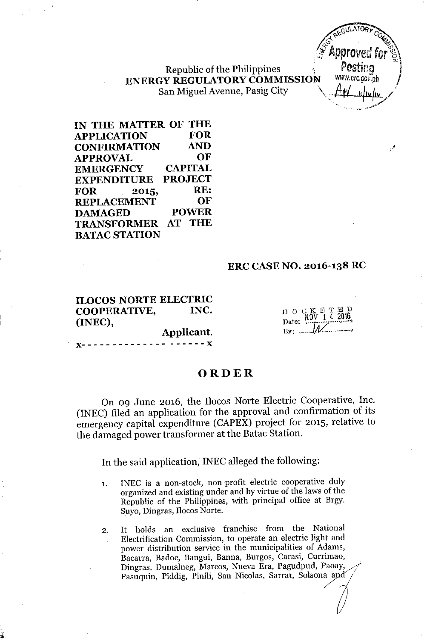Republic of the Philippines ENERGY REGULATORY COMMISSION WWW.erc.gov.ph San Miguel Avenue, Pasig City \~\_~//



,*e*

IN THE MATTER OF THE APPLICATION FOR CONFIRMATION AND APPROVAL OF EMERGENCY CAPITAL EXPENDITURE PROJECT FOR 2015, RE:<br>REPLACEMENT OF **REPLACEMENT** DAMAGED POWER TRANSFORMER AT THE **BATAC STATION** 

## ERC CASENO. 2016-138 RC

ILOCOS NORTE ELECTRIC COOPERATIVE, INC. (INEC),

jL

 $D$  ogk $\pi$ r  $\pi$  $\sum_{\text{Date}}$   $\frac{\text{NOV}}{\text{2016}}$  $By:$   $\mathcal{M}$ 

# **ORDER**

Applicant. )(- - - - - - - - - - - - - - - - - - - - )(

On 09 June 2016, the IIocos Norte Electric Cooperative, Inc. (INEC) filed an application for the approval and confirmation of its emergency capital expenditure (CAPEX) project for 2015, relative to the damaged power transformer at the Batac Station.

In the said application, INEC alleged the following:

- 1. INEC is a non-stock, non-profit electric cooperative duly organized and existing under and by virtue of the laws of the Republic of the Philippines, with principal office at Brgy. Suyo, Dingras, Ilocos Norte.
- 2. It holds an exclusive franchise from the National Electrification Commission, to operate an electric light and power distribution service in the municipalities of Adams, Bacarra, Badoc, Bangui, Banna, Burgos, Carasi, Currimao, Dingras, Dumalneg, Marcos, Nueva Era, Pagudpud, Paoay, Pasuquin, Piddig, Pinili, San Nicolas, Sarrat, Solsona and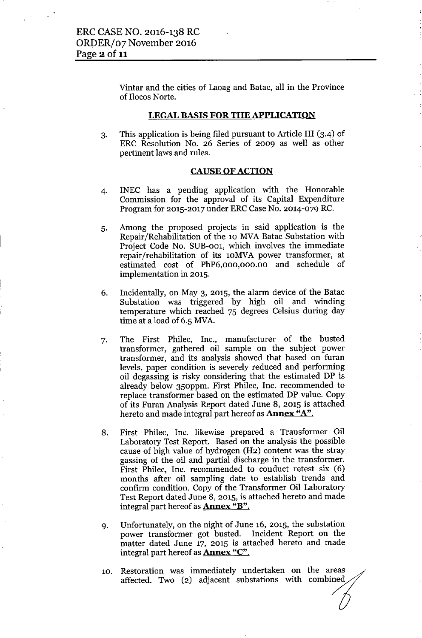Vintar and the cities of Laoag and Batac, all in the Province of Ilocos Norte.

## LEGAL BASIS FOR THE APPLICATION

3. This application is being filed pursuant to Article III (3.4) of ERC Resolution No. 26 Series of 2009 as well as other pertinent laws and rules.

### CAUSE OF ACTION

- 4. INEC has a pending application with the Honorable Commission for the approval of its Capital Expenditure Program for 2015-2017 under ERC Case No. 2014-079 RC.
- 5. Among the proposed projects in said application is the Repair/Rehabilitation of the 10 MVABatac Substation with Project Code No. SUB-001, which involves the immediate repair/rehabilitation of its lOMVA power transformer, at estimated cost of PhP6,000,000.00 and schedule of implementation in 2015.
- 6. Incidentally, on May 3, 2015, the alarm device of the Batac Substation was triggered by high oil and winding temperature which reached 75 degrees Celsius during day time at a load of 6.5 MVA.
- 7. The First Philec, Inc., manufacturer of the busted transformer, gathered oil sample on the subject power transformer, and its analysis showed that based on furan levels, paper condition is severely reduced and performing oil degassing is risky considering that the estimated DP is already below 350ppm. First Philec, Inc. recommended to replace transformer based on the estimated DP value. Copy of its Furan Analysis Report dated June 8, 2015 is attached hereto and made integral part hereof as **Annex "A"**.
- 8. First Philec, Inc. likewise prepared a Transformer Oil Laboratory Test Report. Based on the analysis the possible cause of high value of hydrogen (H2) content was the stray gassing of the oil and partial discharge in the transformer. First Philec, Inc. recommended to conduct retest six (6) months after oil sampling date to establish trends and confirm condition. Copy of the Transformer Oil Laboratory Test Report dated June 8, 2015, is attached hereto and made integral part hereof as **Annex "B"**.
- 9. Unfortunately, on the night of June 16, 2015, the substation power transformer got busted. Incident Report on the matter dated June 17, 2015 is attached hereto and made integral part hereof as **Annex** "C".
- 10. Restoration was immediately undertaken on Restoration was immediately undertaken on the areas<br>affected. Two (2) adjacent substations with combined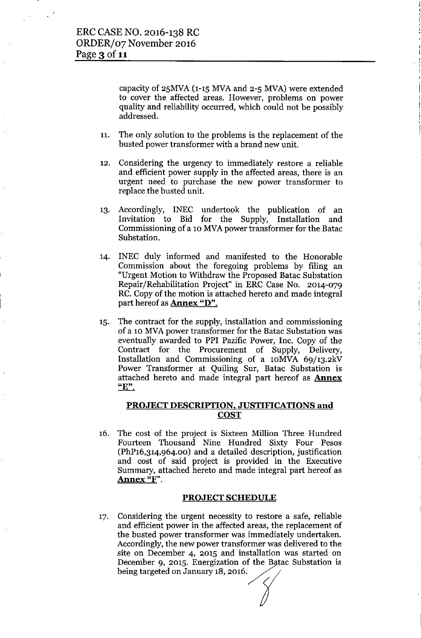capacity of  $25MVA$  (1-15 MVA and  $2-5 MVA$ ) were extended to cover the affected areas. However, problems on power quality and reliability occurred, which could not be possibly addressed.

I

- 11. The only solution to the problems is the replacement of the busted power transformer with a brand new unit.
- 12. Considering the urgency to immediately restore a reliable and efficient power supply in the affected areas, there is an urgent need to purchase the new power transformer to replace the busted unit.
- 13. Accordingly, INEC undertook the publication of an Invitation to Bid for the Supply, Installation and Commissioning of a 10 MVA power transformer for the Batac Substation.
- 14. INEC duly informed and manifested to the Honorable Commission about the foregoing problems by filing an "Urgent Motion to Withdraw the Proposed Batac Substation Repair/Rehabilitation Project" in ERC Case No. 2014-079 RC. Copy of the motion is attached hereto and made integral part hereof as **Annex "D"**.
- 15. The contract for the supply, installation and commissioning of a 10 MVA power transformer for the Batac Substation was eventually awarded to PPI Pazific Power, Inc. Copy of the Contract for the Procurement of Supply, Delivery, Installation and Commissioning of a lOMVA 69/13.2kV Power Transformer at Quiling Sur, Batac Substation is attached hereto and made integral part hereof as **Annex "E".**

## PROJECT DESCRIPTION, JUSTIFICATIONS and **COST**

16. The cost of the project is Sixteen Million Three Hundred Fourteen Thousand Nine Hundred Sixty Four Pesos (PhPI6,314,964.00) and a detailed description, justification and cost of said project is provided in the Executive Summary, attached hereto and made integral part hereof as Annex "F".

### PROJECT SCHEDULE

17. Considering the urgent necessity to restore a safe, reliable and efficient power in the affected areas, the replacement of the busted power transformer was immediately undertaken. Accordingly, the new power transformer was delivered to the site on December 4, 2015 and installation was started on December 9, 2015. Energization of the Batac Substation is being targeted on January 18, 2016.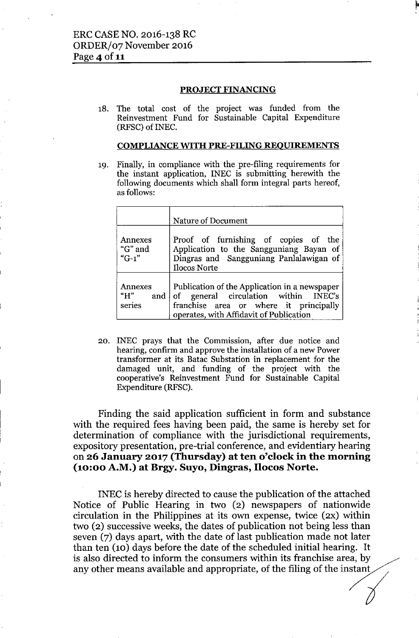### PROJECT FINANCING

18. The total cost of the project was funded from the Reinvestment Fund for Sustainable Capital Expenditure (RFSC) of INEC.

## COMPLIANCE WITH PRE-FILING REOUIREMENTS

19. Finally, in compliance with the pre-filing requirements for the instant application, INEC is submitting herewith the following documents which shall form integral parts hereof, as follows:

|                                 | Nature of Document                                                                                                                                                             |
|---------------------------------|--------------------------------------------------------------------------------------------------------------------------------------------------------------------------------|
| Annexes<br>"G" and<br>" $G-1$ " | Proof of furnishing of copies of the<br>Application to the Sangguniang Bayan of<br>Dingras and Sangguniang Panlalawigan of<br>Ilocos Norte                                     |
| Annexes<br>" $H$ "<br>series    | Publication of the Application in a newspaper<br>and of general circulation within INEC's<br>franchise area or where it principally<br>operates, with Affidavit of Publication |

20. INEC prays that the Commission, after due notice and hearing, confirm and approve the installation of a new Power transformer at its Batac Substation in replacement for the damaged unit, and funding of the project with the cooperative's Reinvestment Fund for Sustainable Capital Expenditure (RFSC).

Finding the said application sufficient in form and substance with the required fees having been paid, the same is hereby set for determination of compliance with the jurisdictional requirements, expository presentation, pre-trial conference, and evidentiary hearing on 26 January 2017 (Thursday) at ten o'clock in the morning (10:00 A.M.) at Brgy. Suyo, Dingras, IIocos Norte.

INEC is hereby directed to cause the publication of the attached Notice of Public Hearing in two (2) newspapers of nationwide circulation in the Philippines at its own expense, twice (2X) within two (2) successive weeks, the dates of publication not being less than seven (7) days apart, with the date of last publication made not later than ten (10) days before the date of the scheduled initial hearing. It is also directed to inform the consumers within its franchise area, by any other means available and appropriate, of the filing of the instant Notice of Public Hearing in two (2) newspapers of nationwide<br>circulation in the Philippines at its own expense, twice (2x) within<br>two (2) successive weeks, the dates of publication not being less than<br>seven (7) days apart, I-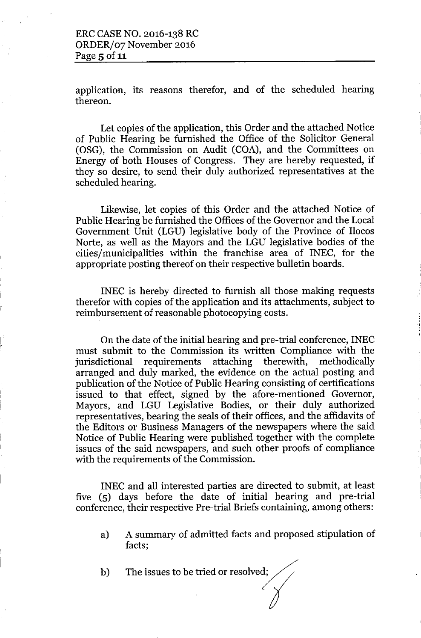I

!,

application, its reasons therefor, and of the scheduled hearing thereon.

Let copies of the application, this Order and the attached Notice of Public Hearing be furnished the Office of the Solicitor General (OSG), the Commission on Audit (COA), and the Committees on Energy of both Houses of Congress. They are hereby requested, if they so desire, to send their duly authorized representatives at the scheduled hearing.

Likewise, let copies of this Order and the attached Notice of Public Hearing be furnished the Offices of the Governor and the Local Government Unit (LGU) legislative body of the Province of Ilocos Norte, as well as the Mayors and the LGU legislative bodies of the cities/municipalities within the franchise area of INEC, for the appropriate posting thereof on their respective bulletin boards.

INEC is hereby directed to furnish all those making requests therefor with copies of the application and its attachments, subject to reimbursement of reasonable photocopying costs.

On the date of the initial hearing and pre-trial conference, INEC must submit to the Commission its written Compliance with the jurisdictional requirements attaching therewith, methodically arranged and duly marked, the evidence on the actual posting and publication of the Notice of Public Hearing consisting of certifications issued to that effect, signed by the afore-mentioned Governor, Mayors, and LGU Legislative Bodies, or their duly authorized representatives, bearing the seals of their offices, and the affidavits of the Editors or Business Managers of the newspapers where the said Notice of Public Hearing were published together with the complete issues of the said newspapers, and such other proofs of compliance with the requirements of the Commission.

INEC and all interested parties are directed to submit, at least five (5) days before the date of initial hearing and pre-trial conference, their respective Pre-trial Briefs containing, among others:

- a) A summary of admitted facts and proposed stipulation of facts;
- b) The issues to be tried or resolved;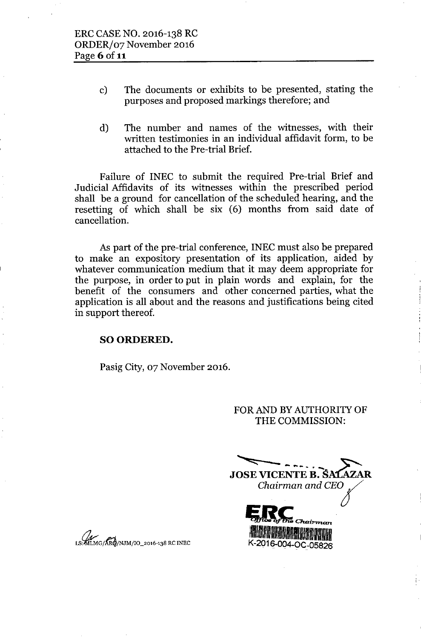- c) The documents or exhibits to be presented, stating the purposes and proposed markings therefore; and
- d) The number and names of the witnesses, with their written testimonies in an individual affidavit form, to be attached to the Pre-trial Brief.

Failure of INEC to submit the required Pre-trial Brief and Judicial Affidavits of its witnesses within the prescribed period shall be a ground for cancellation of the scheduled hearing, and the resetting of which shall be six (6) months from said date of cancellation.

As part of the pre-trial conference, INEC must also be prepared to make an expository presentation of its application, aided by whatever communication medium that it may deem appropriate for the purpose, in order to put in plain words and explain, for the benefit of the consumers and other concerned parties, what the application is all about and the reasons and justifications being cited in support thereof.

## SO ORDERED.

Pasig City, 07 November 2016.

FOR AND BY AUTHORITY OF THE COMMISSION:

**JOSE VICENTE B. ŠA1** Chairman and CEO K-2016-004-OC-05826

, .

MLMG/ARG/NJM/IO\_2016-138 RC INEC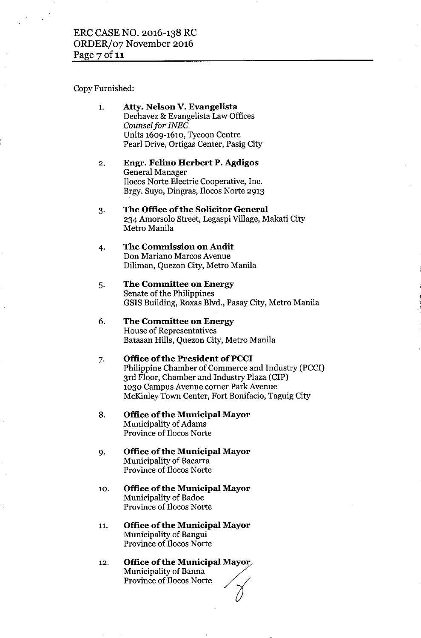## ERC CASE NO. 2016-138 RC ORDER/07 November 2016 Page  $7$  of 11

### Copy Furnished:

- 1. Atty. Nelson V. Evangelista Dechavez & Evangelista Law Offices *Counsel for INEC* Units 1609-1610, Tycoon Centre Pearl Drive, Ortigas Center, Pasig City
- 2. Engr. Felino Herbert P. Agdigos General Manager IIocos Norte Electric Cooperative, Inc. Brgy. Suyo, Dingras, IIocos Norte 2913
- 3. The Office of the Solicitor General 234 Amorsolo Street, Legaspi Village, Makati City Metro Manila

#### 4. The Commission on Audit Don Mariano Marcos Avenue Diliman, Quezon City, Metro Manila

5. The Committee on Energy Senate of the Philippines GSIS Building, Roxas Blvd., Pasay City, Metro Manila

#### 6. The Committee on Energy House of Representatives Batasan Hills, Quezon City, Metro Manila

#### 7. Office of the President of PCCI

Philippine Chamber of Commerce and Industry (PCCI) 3rd Floor, Chamber and Industry Plaza (CIP) 1030 Campus Avenue corner Park Avenue McKinley Town Center, Fort Bonifacio, Taguig City

- 8. Office of the Municipal Mayor Municipality of Adams Province of IIocos Norte
- 9. Office of the Municipal Mayor Municipality of Bacarra Province of IIocos Norte
- 10. Office of the Municipal Mayor Municipality of Badoc Province of IIocos Norte
- 11. Office of the Municipal Mayor Municipality of Bangui Province of IIocos Norte
- 12. Office of the Municipal Mayor $\overline{\phantom{a}}$ Municipality of Banna **Office of the Municipal Mayo**<br>Municipality of Banna<br>Province of Ilocos Norte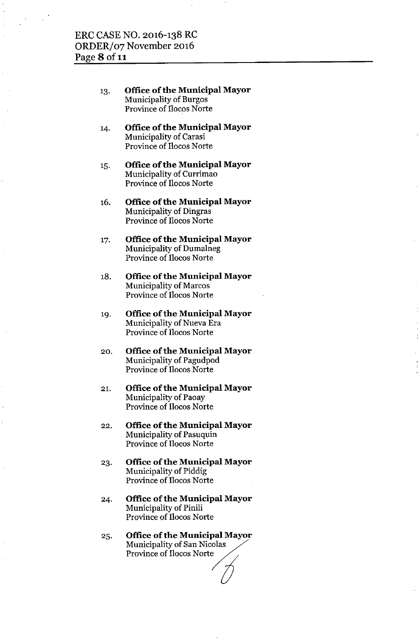- 13. **Office ofthe Municipal Mayor** Municipality of Burgos Province of IIocos Norte
- 14. **Office** of the **Municipal Mayor** Municipality of Carasi Province of IIocos Norte
- 15. **Office of the Municipal Mayor** Municipality of Currimao Province of IIocos Norte
- 16. **Office of the Municipal Mayor** Municipality of Dingras Province of IIocos Norte
- 17. **Office** of the **Municipal Mayor** Municipality of Dumalneg Province of IIocos Norte
- 18. **Office of the Municipal Mayor** Municipality of Marcos Province of IIocos Norte
- 19. **Office** of the **Municipal Mayor** Municipality of Nueva Era Province of IIocos Norte
- 20. **Office of the Municipal Mayor** Municipality of Pagudpod Province of IIocos Norte
- 21. **Office** of the **Municipal Mayor** Municipality of Paoay Province of IIocos Norte
- 22. **Office** of the **Municipal Mayor** Municipality of Pasuquin Province of IIocos Norte
- 23. **Office ofthe Municipal Mayor** Municipality of Piddig Province of IIocos Norte
- 24. **Office ofthe Municipal Mayor** Municipality of Pinili Province of IIocos Norte
- 25. **Office** ofthe **Municipal Mayor** Municipality of San Nicolas Province of Ilocos Norte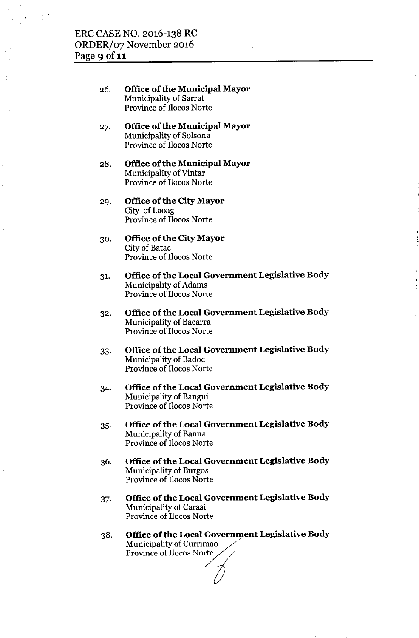- 26. Office of the Municipal Mayor Municipality of Sarrat Province of IIocos Norte
- 27. Office of the Municipal Mayor Municipality of Solsona Province of IIocos Norte
- 28. Office of the Municipal Mayor Municipality of Vintar Province of IIocos Norte
- 29. Office of the City Mayor City of Laoag Province of IIocos Norte
- 30. Office of the City Mayor City of Batac Province of IIocos Norte
- 31. Office of the Local Government Legislative Body Municipality of Adams Province of IIocos Norte
- 32. Office of the Local Government Legislative Body Municipality of Bacarra Province of IIocos Norte
- 33. Office of the Local Government Legislative Body Municipality of Badoc Province of IIocos Norte
- 34. Office of the Local Government Legislative Body Municipality of Bangui Province of IIocos Norte
- 35. Office of the Local Government Legislative Body Municipality of Banna Province of IIocos Norte
- Office of the Local Government Legislative Body 36. Municipality of Burgos Province of IIocos Norte
- 37. Office of the Local Government Legislative Body Municipality of Carasi Province of IIocos Norte
- Office of the Local Government Legislative Body 38. Municipality of Currimao Province of Ilocos Norte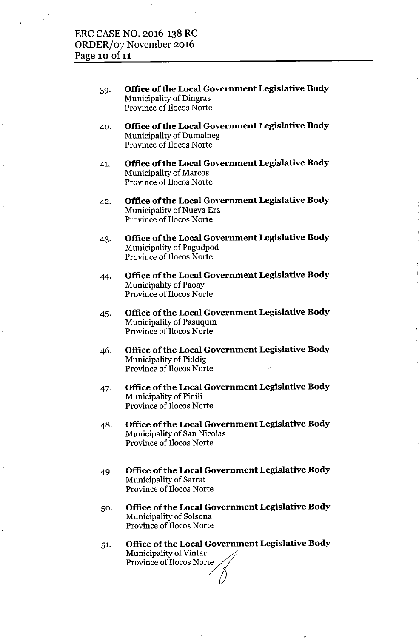- 39. **Office** of the **Local Government Legislative Body** Municipality of Dingras Province of IIocos Norte
- 40. **Office** of the **Local Government Legislative Body** Municipality of Dumalneg Province of IIocos Norte
- 41. **Office of the Local Government Legislative Body** Municipality of Marcos Province of IIocos Norte
- 42. **Office** of the **Local Government Legislative Body** Municipality of Nueva Era Province of IIocos Norte
- 43. **Office** of the **Local Government Legislative Body** Municipality of Pagudpod Province of IIocos Norte
- 44. **Office of the Local Government Legislative Body** Municipality of Paoay Province of IIocos Norte
- 45. **Office** of the **Local Government Legislative Body** Municipality of Pasuquin Province of IIocos Norte
- 46. **Office** of the **Local Government Legislative Body** Municipality of Piddig Province of IIocos Norte
- 47. **Office** of the **Local Government Legislative Body** Municipality of Pinili Province of IIocos Norte
- 48. **Office** of the **Local Government Legislative Body** Municipality of San Nicolas Province of IIocos Norte
- 49. **Office** of the **Local Government Legislative Body** Municipality of Sarrat Province of IIocos Norte
- 50. **Office** of the **Local Government Legislative Body** Municipality of Solsona Province of IIocos Norte
- 51. **Office of the Local Government Legislative Body** Municipality of Vintar Province of Ilocos Nort  $\frac{1}{\sqrt{2}}$  $\frac{1}{2}$